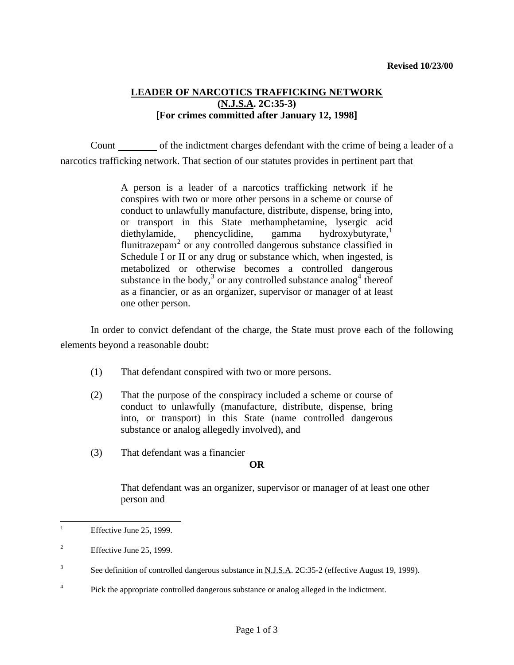## **LEADER OF NARCOTICS TRAFFICKING NETWORK (N.J.S.A. 2C:35-3) [For crimes committed after January 12, 1998]**

 Count of the indictment charges defendant with the crime of being a leader of a narcotics trafficking network. That section of our statutes provides in pertinent part that

> A person is a leader of a narcotics trafficking network if he conspires with two or more other persons in a scheme or course of conduct to unlawfully manufacture, distribute, dispense, bring into, or transport in this State methamphetamine, lysergic acid  $dieth$ ylamide, phencyclidine, gamma hydroxybutyrate, flunitrazepam<sup>[2](#page-0-1)</sup> or any controlled dangerous substance classified in Schedule I or II or any drug or substance which, when ingested, is metabolized or otherwise becomes a controlled dangerous substance in the body,<sup>[3](#page-0-2)</sup> or any controlled substance analog<sup>[4](#page-0-3)</sup> thereof as a financier, or as an organizer, supervisor or manager of at least one other person.

 In order to convict defendant of the charge, the State must prove each of the following elements beyond a reasonable doubt:

- (1) That defendant conspired with two or more persons.
- (2) That the purpose of the conspiracy included a scheme or course of conduct to unlawfully (manufacture, distribute, dispense, bring into, or transport) in this State (name controlled dangerous substance or analog allegedly involved), and
- (3) That defendant was a financier

## **OR**

 That defendant was an organizer, supervisor or manager of at least one other person and

<span id="page-0-3"></span>4 Pick the appropriate controlled dangerous substance or analog alleged in the indictment.

<span id="page-0-4"></span><span id="page-0-0"></span> $\overline{a}$ 1 Effective June 25, 1999.

<span id="page-0-1"></span><sup>2</sup> Effective June 25, 1999.

<span id="page-0-2"></span><sup>3</sup> See definition of controlled dangerous substance in N.J.S.A. 2C:35-2 (effective August 19, 1999).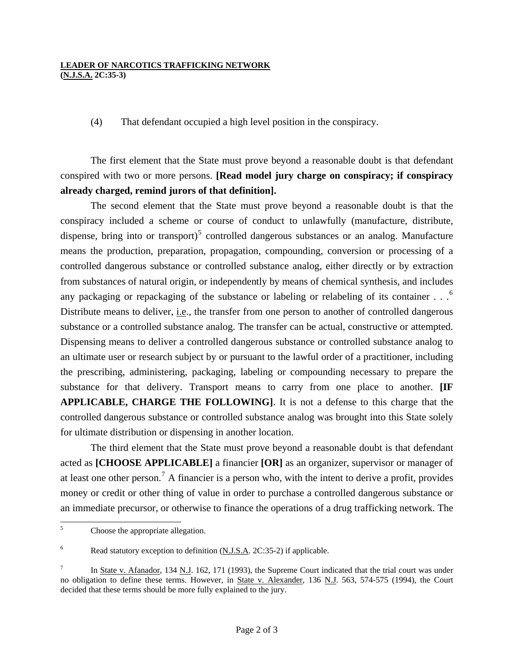## **LEADER OF NARCOTICS TRAFFICKING NETWORK (N.J.S.A. 2C:35-3)**

(4) That defendant occupied a high level position in the conspiracy.

 The first element that the State must prove beyond a reasonable doubt is that defendant conspired with two or more persons. **[Read model jury charge on conspiracy; if conspiracy already charged, remind jurors of that definition].**

 The second element that the State must prove beyond a reasonable doubt is that the conspiracy included a scheme or course of conduct to unlawfully (manufacture, distribute, dispense, bring into or transport)<sup>[5](#page-0-4)</sup> controlled dangerous substances or an analog. Manufacture means the production, preparation, propagation, compounding, conversion or processing of a controlled dangerous substance or controlled substance analog, either directly or by extraction from substances of natural origin, or independently by means of chemical synthesis, and includes any packaging or repackaging of the substance or labeling or relabeling of its container  $\ldots$ <sup>[6](#page-1-0)</sup> Distribute means to deliver, *i.e.*, the transfer from one person to another of controlled dangerous substance or a controlled substance analog. The transfer can be actual, constructive or attempted. Dispensing means to deliver a controlled dangerous substance or controlled substance analog to an ultimate user or research subject by or pursuant to the lawful order of a practitioner, including the prescribing, administering, packaging, labeling or compounding necessary to prepare the substance for that delivery. Transport means to carry from one place to another. **[IF APPLICABLE, CHARGE THE FOLLOWING]**. It is not a defense to this charge that the controlled dangerous substance or controlled substance analog was brought into this State solely for ultimate distribution or dispensing in another location.

 The third element that the State must prove beyond a reasonable doubt is that defendant acted as **[CHOOSE APPLICABLE]** a financier **[OR]** as an organizer, supervisor or manager of at least one other person.<sup>[7](#page-1-1)</sup> A financier is a person who, with the intent to derive a profit, provides money or credit or other thing of value in order to purchase a controlled dangerous substance or an immediate precursor, or otherwise to finance the operations of a drug trafficking network. The

 5 Choose the appropriate allegation.

<span id="page-1-0"></span><sup>6</sup> Read statutory exception to definition (N.J.S.A. 2C:35-2) if applicable.

<span id="page-1-2"></span><span id="page-1-1"></span><sup>7</sup> In State v. Afanador, 134 N.J. 162, 171 (1993), the Supreme Court indicated that the trial court was under no obligation to define these terms. However, in State v. Alexander, 136 N.J. 563, 574-575 (1994), the Court decided that these terms should be more fully explained to the jury.